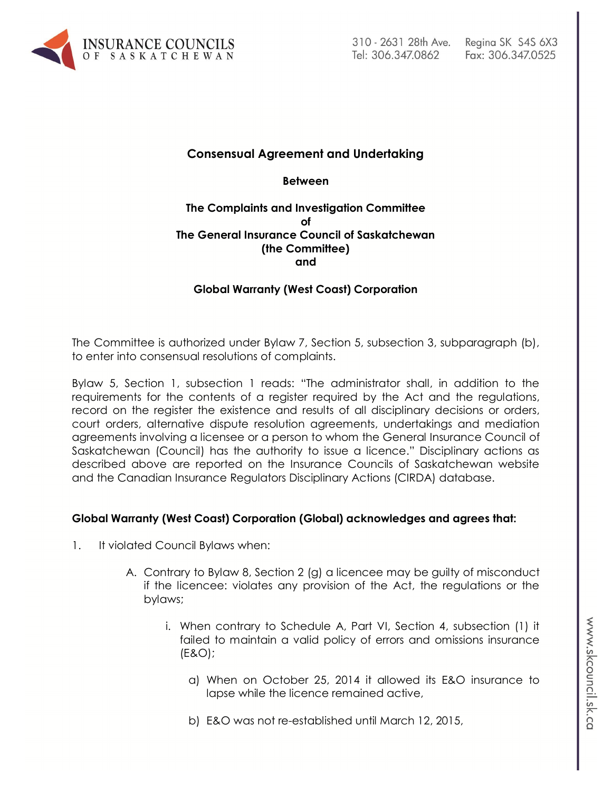

# **Consensual Agreement and Undertaking**

**Between**

#### **The Complaints and Investigation Committee of The General Insurance Council of Saskatchewan (the Committee) and**

## **Global Warranty (West Coast) Corporation**

The Committee is authorized under Bylaw 7, Section 5, subsection 3, subparagraph (b), to enter into consensual resolutions of complaints.

Bylaw 5, Section 1, subsection 1 reads: "The administrator shall, in addition to the requirements for the contents of a register required by the Act and the regulations, record on the register the existence and results of all disciplinary decisions or orders, court orders, alternative dispute resolution agreements, undertakings and mediation agreements involving a licensee or a person to whom the General Insurance Council of Saskatchewan (Council) has the authority to issue a licence." Disciplinary actions as described above are reported on the Insurance Councils of Saskatchewan website and the Canadian Insurance Regulators Disciplinary Actions (CIRDA) database.

#### **Global Warranty (West Coast) Corporation (Global) acknowledges and agrees that:**

- 1. It violated Council Bylaws when:
	- A. Contrary to Bylaw 8, Section 2 (g) a licencee may be guilty of misconduct if the licencee: violates any provision of the Act, the regulations or the bylaws;
		- i. When contrary to Schedule A, Part VI, Section 4, subsection (1) it failed to maintain a valid policy of errors and omissions insurance (E&O);
			- a) When on October 25, 2014 it allowed its E&O insurance to lapse while the licence remained active,
			- b) E&O was not re-established until March 12, 2015,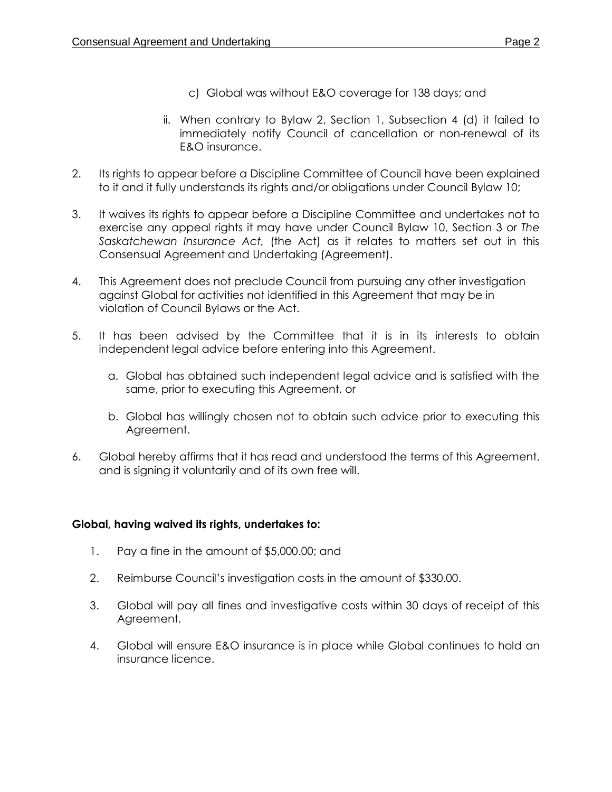- c) Global was without E&O coverage for 138 days; and
- ii. When contrary to Bylaw 2, Section 1, Subsection 4 (d) it failed to immediately notify Council of cancellation or non-renewal of its E&O insurance.
- 2. Its rights to appear before a Discipline Committee of Council have been explained to it and it fully understands its rights and/or obligations under Council Bylaw 10;
- 3. It waives its rights to appear before a Discipline Committee and undertakes not to exercise any appeal rights it may have under Council Bylaw 10, Section 3 or *The Saskatchewan Insurance Act,* (the Act) as it relates to matters set out in this Consensual Agreement and Undertaking (Agreement).
- 4. This Agreement does not preclude Council from pursuing any other investigation against Global for activities not identified in this Agreement that may be in violation of Council Bylaws or the Act.
- 5. It has been advised by the Committee that it is in its interests to obtain independent legal advice before entering into this Agreement.
	- a. Global has obtained such independent legal advice and is satisfied with the same, prior to executing this Agreement, or
	- b. Global has willingly chosen not to obtain such advice prior to executing this Agreement.
- 6. Global hereby affirms that it has read and understood the terms of this Agreement, and is signing it voluntarily and of its own free will.

## **Global, having waived its rights, undertakes to:**

- 1. Pay a fine in the amount of \$5,000.00; and
- 2. Reimburse Council's investigation costs in the amount of \$330.00.
- 3. Global will pay all fines and investigative costs within 30 days of receipt of this Agreement.
- 4. Global will ensure E&O insurance is in place while Global continues to hold an insurance licence.